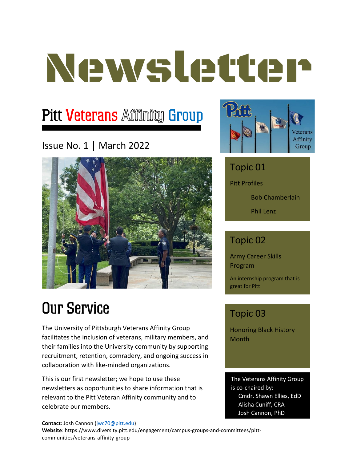# Newsletter

# **Pitt Veterans Affinity Group**

### Issue No. 1 │ March 2022



# **Our Service**

The University of Pittsburgh Veterans Affinity Group facilitates the inclusion of veterans, military members, and their families into the University community by supporting recruitment, retention, comradery, and ongoing success in collaboration with like-minded organizations.

This is our first newsletter; we hope to use these newsletters as opportunities to share information that is relevant to the Pitt Veteran Affinity community and to celebrate our members.



## Topic 01 Pitt Profiles Bob Chamberlain

Phil Lenz

### Topic 02

Army Career Skills Program

An internship program that is great for Pitt

### Topic 03

Honoring Black History Month

The Veterans Affinity Group is co-chaired by: Cmdr. Shawn Ellies, EdD Alisha Cuniff, CRA Josh Cannon, PhD

**Contact**: Josh Cannon [\(jwc70@pitt.edu\)](mailto:jwc70@pitt.edu)

**Website**: https://www.diversity.pitt.edu/engagement/campus-groups-and-committees/pittcommunities/veterans-affinity-group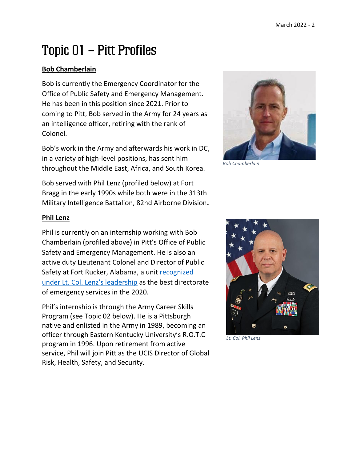# Topic 01 - Pitt Profiles

#### **Bob Chamberlain**

Bob is currently the Emergency Coordinator for the Office of Public Safety and Emergency Management. He has been in this position since 2021. Prior to coming to Pitt, Bob served in the Army for 24 years as an intelligence officer, retiring with the rank of Colonel.

Bob's work in the Army and afterwards his work in DC, in a variety of high-level positions, has sent him throughout the Middle East, Africa, and South Korea.

Bob served with Phil Lenz (profiled below) at Fort Bragg in the early 1990s while both were in the 313th Military Intelligence Battalion, 82nd Airborne Division**.**



*Bob Chamberlain*

#### **Phil Lenz**

Phil is currently on an internship working with Bob Chamberlain (profiled above) in Pitt's Office of Public Safety and Emergency Management. He is also an active duty Lieutenant Colonel and Director of Public Safety at Fort Rucker, Alabama, a unit recognized [under Lt. Col. Lenz's leadership](https://www.army.mil/article/242856/best_in_the_army_fort_rucker_dps_earns_top_honors) as the best directorate of emergency services in the 2020.

Phil's internship is through the Army Career Skills Program (see Topic 02 below). He is a Pittsburgh native and enlisted in the Army in 1989, becoming an officer through Eastern Kentucky University's R.O.T.C program in 1996. Upon retirement from active service, Phil will join Pitt as the UCIS Director of Global Risk, Health, Safety, and Security.



*Lt. Col. Phil Lenz*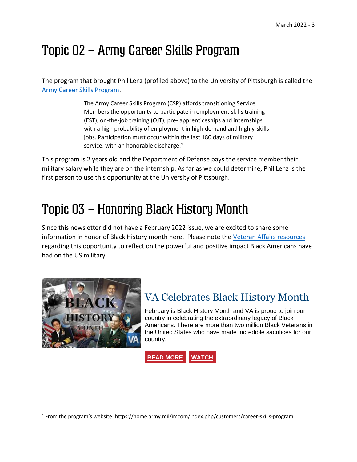# Topic 02 – Army Career Skills Program

The program that brought Phil Lenz (profiled above) to the University of Pittsburgh is called the [Army Career Skills Program.](https://home.army.mil/imcom/index.php/customers/career-skills-program)

> The Army Career Skills Program (CSP) affords transitioning Service Members the opportunity to participate in employment skills training (EST), on-the-job training (OJT), pre- apprenticeships and internships with a high probability of employment in high-demand and highly-skills jobs. Participation must occur within the last 180 days of military service, with an honorable discharge.<sup>1</sup>

This program is 2 years old and the Department of Defense pays the service member their military salary while they are on the internship. As far as we could determine, Phil Lenz is the first person to use this opportunity at the University of Pittsburgh.

## Topic 03 – Honoring Black History Month

Since this newsletter did not have a February 2022 issue, we are excited to share some information in honor of Black History month here. Please note the [Veteran Affairs resources](https://content.govdelivery.com/accounts/USVA/bulletins/30c6993) regarding this opportunity to reflect on the powerful and positive impact Black Americans have had on the US military.



## VA Celebrates Black History Month

February is Black History Month and VA is proud to join our country in celebrating the extraordinary legacy of Black Americans. There are more than two million Black Veterans in the United States who have made incredible sacrifices for our country.

**READ [MORE](https://nam12.safelinks.protection.outlook.com/?url=https%3A%2F%2Flnks.gd%2Fl%2FeyJhbGciOiJIUzI1NiJ9.eyJidWxsZXRpbl9saW5rX2lkIjoxMTYsInVyaSI6ImJwMjpjbGljayIsImJ1bGxldGluX2lkIjoiMjAyMjAyMjYuNTQwNjI1MTEiLCJ1cmwiOiJodHRwczovL2Jsb2dzLnZhLmdvdi9WQW50YWdlLzEwMDI5OC92YS1jZWxlYnJhdGVzLWJsYWNrLWhpc3RvcnktbW9udGgvP3V0bV9zb3VyY2U9RmVhdHVyZSZ1dG1fbWVkaXVtPWVtYWlsJnV0bV9jYW1wYWlnbj1WZXRSZXNvdXJjZXMmdXRtX2lkPTI2RkVCMjAyMiJ9.r2Sowk1R0V46E_vOLRFIC3BpA8LPk8skw24eIJfoCKA%2Fs%2F268270850%2Fbr%2F127223326490-l&data=04%7C01%7Cacuniff%40pitt.edu%7C2b7a68a0434341f9ed3a08d9f967c093%7C9ef9f489e0a04eeb87cc3a526112fd0d%7C1%7C0%7C637815046287171215%7CUnknown%7CTWFpbGZsb3d8eyJWIjoiMC4wLjAwMDAiLCJQIjoiV2luMzIiLCJBTiI6Ik1haWwiLCJXVCI6Mn0%3D%7C3000&sdata=8arV3hsZTE6%2BlXdcIkFDqcMuuC1QhQa5lVX%2Bu1jm%2FE8%3D&reserved=0) [WATCH](https://nam12.safelinks.protection.outlook.com/?url=https%3A%2F%2Flnks.gd%2Fl%2FeyJhbGciOiJIUzI1NiJ9.eyJidWxsZXRpbl9saW5rX2lkIjoxMTcsInVyaSI6ImJwMjpjbGljayIsImJ1bGxldGluX2lkIjoiMjAyMjAyMjYuNTQwNjI1MTEiLCJ1cmwiOiJodHRwczovL3BsYXllcnMuYnJpZ2h0Y292ZS5uZXQvMjg1MTg2Mzk3OTAwMS9kZWZhdWx0X2RlZmF1bHQvaW5kZXguaHRtbD92aWRlb0lkPTYyOTg1MjY2MTAwMDEifQ.w3SL1M0NKe32GybPH_t-v5FELg3HL7v59-FW7SyGsOw%2Fs%2F268270850%2Fbr%2F127223326490-l&data=04%7C01%7Cacuniff%40pitt.edu%7C2b7a68a0434341f9ed3a08d9f967c093%7C9ef9f489e0a04eeb87cc3a526112fd0d%7C1%7C0%7C637815046287171215%7CUnknown%7CTWFpbGZsb3d8eyJWIjoiMC4wLjAwMDAiLCJQIjoiV2luMzIiLCJBTiI6Ik1haWwiLCJXVCI6Mn0%3D%7C3000&sdata=%2BlytNnNBXKZC%2Bb1ANSlv%2F4TJ9kpCUj%2B92x9X7CkH2v4%3D&reserved=0)**

<sup>&</sup>lt;sup>1</sup> From the program's website: https://home.army.mil/imcom/index.php/customers/career-skills-program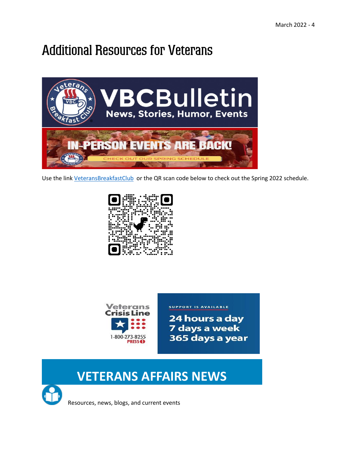# **Additional Resources for Veterans**



Use the link [VeteransBreakfastClub](https://mailchi.mp/veteransbreakfastclub/june7-1389020?e=19fe315223) or the QR scan code below to check out the Spring 2022 schedule.





**SUPPORT IS AVAILABLE** 

24 hours a day 7 days a week 365 days a year

## **VETERANS AFFAIRS NEWS**



Resources, news, blogs, and current events